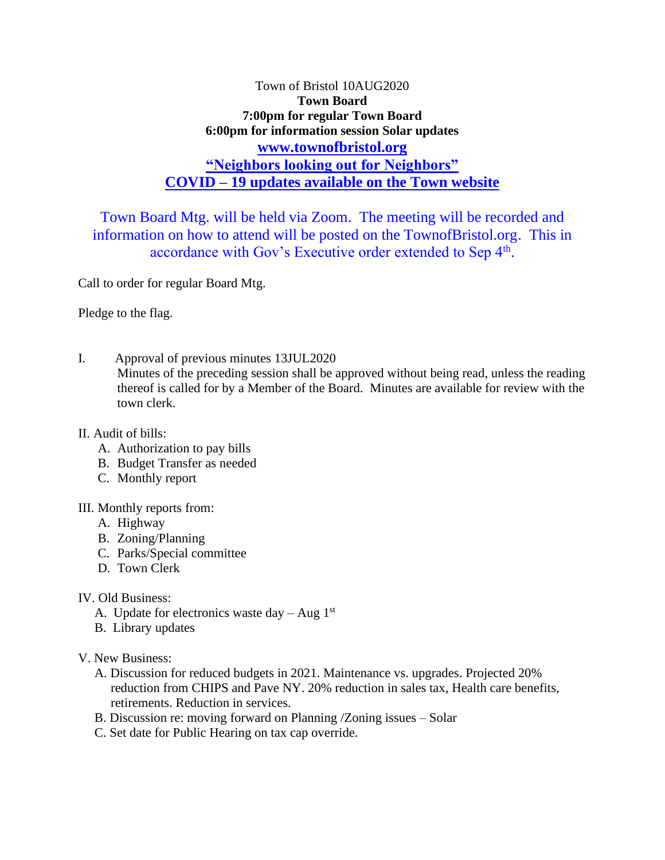## Town of Bristol 10AUG2020 **Town Board 7:00pm for regular Town Board 6:00pm for information session Solar updates [www.townofbristol.org](http://www.townofbristol.org/) "Neighbors looking out for Neighbors" COVID – 19 updates available on the Town website**

Town Board Mtg. will be held via Zoom. The meeting will be recorded and information on how to attend will be posted on the TownofBristol.org. This in accordance with Gov's Executive order extended to Sep 4<sup>th</sup>.

Call to order for regular Board Mtg.

Pledge to the flag.

I. Approval of previous minutes 13JUL2020

Minutes of the preceding session shall be approved without being read, unless the reading thereof is called for by a Member of the Board. Minutes are available for review with the town clerk.

- II. Audit of bills:
	- A. Authorization to pay bills
	- B. Budget Transfer as needed
	- C. Monthly report
- III. Monthly reports from:
	- A. Highway
	- B. Zoning/Planning
	- C. Parks/Special committee
	- D. Town Clerk
- IV. Old Business:
	- A. Update for electronics waste day Aug  $1<sup>st</sup>$
	- B. Library updates
- V. New Business:
	- A. Discussion for reduced budgets in 2021. Maintenance vs. upgrades. Projected 20% reduction from CHIPS and Pave NY. 20% reduction in sales tax, Health care benefits, retirements. Reduction in services.
	- B. Discussion re: moving forward on Planning /Zoning issues Solar
	- C. Set date for Public Hearing on tax cap override.